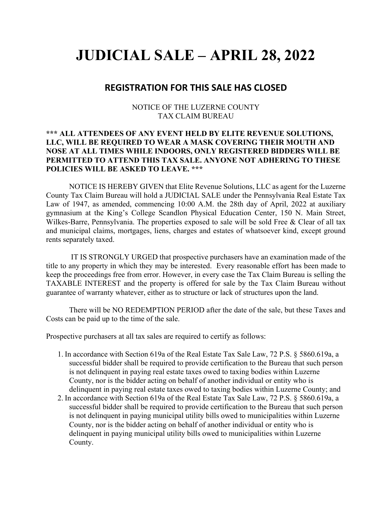## **JUDICIAL SALE – APRIL 28, 2022**

## **REGISTRATION FOR THIS SALE HAS CLOSED**

NOTICE OF THE LUZERNE COUNTY TAX CLAIM BUREAU

## **\*\*\* ALL ATTENDEES OF ANY EVENT HELD BY ELITE REVENUE SOLUTIONS, LLC, WILL BE REQUIRED TO WEAR A MASK COVERING THEIR MOUTH AND NOSE AT ALL TIMES WHILE INDOORS, ONLY REGISTERED BIDDERS WILL BE PERMITTED TO ATTEND THIS TAX SALE. ANYONE NOT ADHERING TO THESE POLICIES WILL BE ASKED TO LEAVE. \*\*\***

 NOTICE IS HEREBY GIVEN that Elite Revenue Solutions, LLC as agent for the Luzerne County Tax Claim Bureau will hold a JUDICIAL SALE under the Pennsylvania Real Estate Tax Law of 1947, as amended, commencing 10:00 A.M. the 28th day of April, 2022 at auxiliary gymnasium at the King's College Scandlon Physical Education Center, 150 N. Main Street, Wilkes-Barre, Pennsylvania. The properties exposed to sale will be sold Free & Clear of all tax and municipal claims, mortgages, liens, charges and estates of whatsoever kind, except ground rents separately taxed.

 IT IS STRONGLY URGED that prospective purchasers have an examination made of the title to any property in which they may be interested. Every reasonable effort has been made to keep the proceedings free from error. However, in every case the Tax Claim Bureau is selling the TAXABLE INTEREST and the property is offered for sale by the Tax Claim Bureau without guarantee of warranty whatever, either as to structure or lack of structures upon the land.

 There will be NO REDEMPTION PERIOD after the date of the sale, but these Taxes and Costs can be paid up to the time of the sale.

Prospective purchasers at all tax sales are required to certify as follows:

- 1. In accordance with Section 619a of the Real Estate Tax Sale Law, 72 P.S. § 5860.619a, a successful bidder shall be required to provide certification to the Bureau that such person is not delinquent in paying real estate taxes owed to taxing bodies within Luzerne County, nor is the bidder acting on behalf of another individual or entity who is delinquent in paying real estate taxes owed to taxing bodies within Luzerne County; and
- 2. In accordance with Section 619a of the Real Estate Tax Sale Law, 72 P.S. § 5860.619a, a successful bidder shall be required to provide certification to the Bureau that such person is not delinquent in paying municipal utility bills owed to municipalities within Luzerne County, nor is the bidder acting on behalf of another individual or entity who is delinquent in paying municipal utility bills owed to municipalities within Luzerne County.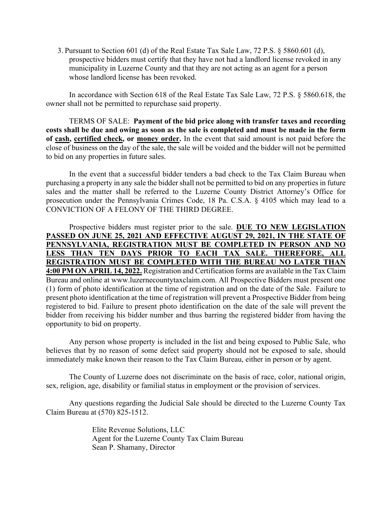3. Pursuant to Section 601 (d) of the Real Estate Tax Sale Law, 72 P.S. § 5860.601 (d), prospective bidders must certify that they have not had a landlord license revoked in any municipality in Luzerne County and that they are not acting as an agent for a person whose landlord license has been revoked.

In accordance with Section 618 of the Real Estate Tax Sale Law, 72 P.S. § 5860.618, the owner shall not be permitted to repurchase said property.

 TERMS OF SALE: **Payment of the bid price along with transfer taxes and recording costs shall be due and owing as soon as the sale is completed and must be made in the form of cash, certified check, or money order.** In the event that said amount is not paid before the close of business on the day of the sale, the sale will be voided and the bidder will not be permitted to bid on any properties in future sales.

In the event that a successful bidder tenders a bad check to the Tax Claim Bureau when purchasing a property in any sale the bidder shall not be permitted to bid on any properties in future sales and the matter shall be referred to the Luzerne County District Attorney's Office for prosecution under the Pennsylvania Crimes Code, 18 Pa. C.S.A. § 4105 which may lead to a CONVICTION OF A FELONY OF THE THIRD DEGREE.

Prospective bidders must register prior to the sale. **DUE TO NEW LEGISLATION PASSED ON JUNE 25, 2021 AND EFFECTIVE AUGUST 29, 2021, IN THE STATE OF PENNSYLVANIA, REGISTRATION MUST BE COMPLETED IN PERSON AND NO LESS THAN TEN DAYS PRIOR TO EACH TAX SALE. THEREFORE, ALL REGISTRATION MUST BE COMPLETED WITH THE BUREAU NO LATER THAN 4:00 PM ON APRIL 14, 2022.** Registration and Certification forms are available in the Tax Claim Bureau and online at www.luzernecountytaxclaim.com. All Prospective Bidders must present one (1) form of photo identification at the time of registration and on the date of the Sale. Failure to present photo identification at the time of registration will prevent a Prospective Bidder from being registered to bid. Failure to present photo identification on the date of the sale will prevent the bidder from receiving his bidder number and thus barring the registered bidder from having the opportunity to bid on property.

Any person whose property is included in the list and being exposed to Public Sale, who believes that by no reason of some defect said property should not be exposed to sale, should immediately make known their reason to the Tax Claim Bureau, either in person or by agent.

 The County of Luzerne does not discriminate on the basis of race, color, national origin, sex, religion, age, disability or familial status in employment or the provision of services.

 Any questions regarding the Judicial Sale should be directed to the Luzerne County Tax Claim Bureau at (570) 825-1512.

> Elite Revenue Solutions, LLC Agent for the Luzerne County Tax Claim Bureau Sean P. Shamany, Director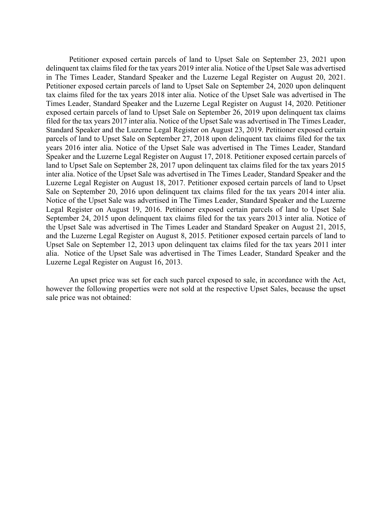Petitioner exposed certain parcels of land to Upset Sale on September 23, 2021 upon delinquent tax claims filed for the tax years 2019 inter alia. Notice of the Upset Sale was advertised in The Times Leader, Standard Speaker and the Luzerne Legal Register on August 20, 2021. Petitioner exposed certain parcels of land to Upset Sale on September 24, 2020 upon delinquent tax claims filed for the tax years 2018 inter alia. Notice of the Upset Sale was advertised in The Times Leader, Standard Speaker and the Luzerne Legal Register on August 14, 2020. Petitioner exposed certain parcels of land to Upset Sale on September 26, 2019 upon delinquent tax claims filed for the tax years 2017 inter alia. Notice of the Upset Sale was advertised in The Times Leader, Standard Speaker and the Luzerne Legal Register on August 23, 2019. Petitioner exposed certain parcels of land to Upset Sale on September 27, 2018 upon delinquent tax claims filed for the tax years 2016 inter alia. Notice of the Upset Sale was advertised in The Times Leader, Standard Speaker and the Luzerne Legal Register on August 17, 2018. Petitioner exposed certain parcels of land to Upset Sale on September 28, 2017 upon delinquent tax claims filed for the tax years 2015 inter alia. Notice of the Upset Sale was advertised in The Times Leader, Standard Speaker and the Luzerne Legal Register on August 18, 2017. Petitioner exposed certain parcels of land to Upset Sale on September 20, 2016 upon delinquent tax claims filed for the tax years 2014 inter alia. Notice of the Upset Sale was advertised in The Times Leader, Standard Speaker and the Luzerne Legal Register on August 19, 2016. Petitioner exposed certain parcels of land to Upset Sale September 24, 2015 upon delinquent tax claims filed for the tax years 2013 inter alia. Notice of the Upset Sale was advertised in The Times Leader and Standard Speaker on August 21, 2015, and the Luzerne Legal Register on August 8, 2015. Petitioner exposed certain parcels of land to Upset Sale on September 12, 2013 upon delinquent tax claims filed for the tax years 2011 inter alia. Notice of the Upset Sale was advertised in The Times Leader, Standard Speaker and the Luzerne Legal Register on August 16, 2013.

An upset price was set for each such parcel exposed to sale, in accordance with the Act, however the following properties were not sold at the respective Upset Sales, because the upset sale price was not obtained: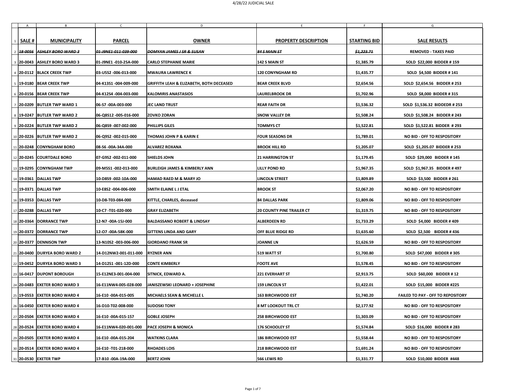|              | $\mathsf{B}$                      | $\mathsf{C}$          | D                                                   | E.                               |                       | G                                        |
|--------------|-----------------------------------|-----------------------|-----------------------------------------------------|----------------------------------|-----------------------|------------------------------------------|
| <b>SALE#</b> | <b>MUNICIPALITY</b>               | <b>PARCEL</b>         | <b>OWNER</b>                                        | <b>PROPERTY DESCRIPTION</b>      | <b>STARTING BID</b>   | <b>SALE RESULTS</b>                      |
|              | 2 38-0056 ASHLEY BORO WARD 3      | 01-J9NE1-011-039-000  | DOMYAN JAMES J SR & SUSAN                           | $84$ S MAIN ST                   | <del>\$1,223.71</del> | <b>REMOVED - TAXES PAID</b>              |
|              | 3 20-0043 ASHLEY BORO WARD 3      | 01-J9NE1 -010-25A-000 | <b>CARLO STEPHANIE MARIE</b>                        | $142$ S MAIN ST                  | \$1,385.79            | <b>SOLD \$22,000 BIDDER #159</b>         |
|              | 4 20-0112 BLACK CREEK TWP         | 03-U5S2 -006-013-000  | <b>MWAURA LAWRENCE K</b>                            | <b>120 CONYNGHAM RD</b>          | \$1,435.77            | <b>SOLD \$4,500 BIDDER #141</b>          |
|              | 5   19-0180   BEAR CREEK TWP      | 04-K13S1 -004-009-000 | <b>GRIFFITH LEAH &amp; ELIZABETH, BOTH DECEASED</b> | <b>BEAR CREEK BLVD</b>           | \$2,654.56            | SOLD \$2,654.56 BIDDER # 253             |
|              | 6 20-0156 BEAR CREEK TWP          | 04-K12S4 -004-003-000 | <b>KALOMIRIS ANASTASIOS</b>                         | <b>LAURELBROOK DR</b>            | \$1,702.96            | <b>SOLD \$8,000 BIDDER #315</b>          |
|              | 7   20-0209   BUTLER TWP WARD 1   | 06-S7 -00A-003-000    | <b>JEC LAND TRUST</b>                               | <b>REAR FAITH DR</b>             | \$1,536.32            | SOLD \$1,536.32 BIDDEDR # 253            |
|              | 8   19-0247   BUTLER TWP WARD 2   | 06-Q8S12 -005-016-000 | <b>ZOVKO ZORAN</b>                                  | <b>SNOW VALLEY DR</b>            | \$1,508.24            | SOLD \$1,508.24 BIDDER # 243             |
|              | 9 20-0224 BUTLER TWP WARD 2       | 06-Q8S9 -007-002-000  | <b>PHILLIPS GILES</b>                               | <b>TOMMYS CT</b>                 | \$1,522.81            | SOLD \$1,522.81 BIDDER #293              |
|              | 10 20-0226 BUTLER TWP WARD 2      | 06-Q9S2 -002-015-000  | <b>THOMAS JOHN P &amp; KARIN E</b>                  | <b>FOUR SEASONS DR</b>           | \$1,789.01            | NO BID - OFF TO RESPOSITORY              |
|              | 11   20-0248   CONYNGHAM BORO     | 08-S6 -00A-34A-000    | <b>ALVAREZ ROXANA</b>                               | <b>BROOK HILL RD</b>             | \$1,205.07            | SOLD \$1,205.07 BIDDER # 253             |
|              | 12 20-0245 COURTDALE BORO         | 07-G9S2 -002-011-000  | <b>SHIELDS JOHN</b>                                 | <b>21 HARRINGTON ST</b>          | \$1,179.45            | SOLD \$29,000 BIDDER #145                |
|              | 13 19-0295 CONYNGHAM TWP          | 09-M5S1-002-013-000   | <b>BURLEIGH JAMES &amp; KIMBERLY ANN</b>            | <b>LILLY POND RD</b>             | \$1,967.35            | SOLD \$1,967.35 BIDDER #497              |
|              | 14   19-0361   DALLAS TWP         | 10-D8S9 -002-10A-000  | <b>HAMAD RAED M &amp; MARY JO</b>                   | <b>LINCOLN STREET</b>            | \$1,809.89            | <b>SOLD \$3,500 BIDDER # 261</b>         |
|              | 15 19-0371 DALLAS TWP             | 10-E8S2 -004-006-000  | <b>SMITH ELAINE L J ETAL</b>                        | <b>BROOK ST</b>                  | \$2,067.20            | NO BID - OFF TO RESPOSITORY              |
|              | 16   19-0353   DALLAS TWP         | 10-D8-T03-084-000     | KITTLE, CHARLES, deceased                           | <b>84 DALLAS PARK</b>            | \$1,809.06            | NO BID - OFF TO RESPOSITORY              |
|              | 17 20-0288 DALLAS TWP             | 10-C7 -T01-020-000    | <b>GRAY ELIZABETH</b>                               | <b>20 COUNTY PINE TRAILER CT</b> | \$1,319.75            | NO BID - OFF TO RESPOSITORY              |
|              | 18   20-0364   DORRANCE TWP       | 12-N7 -00A-15J-000    | <b>BALDASSANO ROBERT &amp; LINDSAY</b>              | <b>ALBERDEEN RD</b>              | \$1,733.29            | <b>SOLD \$4,000 BIDDER #409</b>          |
|              | 19 20-0372 DORRANCE TWP           | 12-07 -00A-58K-000    | <b>GITTENS LINDA AND GARY</b>                       | <b>OFF BLUE RIDGE RD</b>         | \$1,635.60            | <b>SOLD \$2,500 BIDDER #436</b>          |
|              | 20 20-0377 DENNISON TWP           | 13-N10S2 -003-006-000 | <b>GIORDANO FRANK SR</b>                            | <b>JOANNE LN</b>                 | \$1,626.59            | NO BID - OFF TO RESPOSITORY              |
|              | 21 20-0400 DURYEA BORO WARD 2     | 14-D12NW2-001-011-000 | <b>RYZNER ANN</b>                                   | <b>519 WATT ST</b>               | \$1,700.80            | SOLD \$47,000 BIDDER # 305               |
|              | 22   19-0452   DURYEA BORO WARD 3 | 14-D12S1-001-12D-000  | <b>CONTE KIMBERLY</b>                               | <b>FOOTE AVE</b>                 | \$1,578.45            | <b>NO BID - OFF TO RESPOSITORY</b>       |
|              | 23   16-0417   DUPONT BOROUGH     | 15-E12NE3-001-004-000 | SITNICK, EDWARD A.                                  | <b>221 EVERHART ST</b>           | \$2,913.75            | <b>SOLD \$60,000 BIDDER #12</b>          |
|              | 24 20-0483 EXETER BORO WARD 3     | 16-E11NW4-005-028-000 | <b>JANISZEWSKI LEONARD + JOSEPHINE</b>              | <b>159 LINCOLN ST</b>            | \$1,422.01            | <b>SOLD \$15,000 BIDDER #225</b>         |
|              | 25 19-0553 EXETER BORO WARD 4     | 16-E10 -00A-015-005   | <b>MICHAELS SEAN &amp; MICHELLE L</b>               | 163 BIRCHWOOD EST                | \$1,740.20            | <b>FAILED TO PAY - OFF TO REPOSITORY</b> |
|              | 26   16-0450   EXETER BORO WARD 4 | 16-D10-T02-008-000    | <b>SUDOSKI TONY</b>                                 | <b>8 MT LOOKOUT TRL CT</b>       | \$2,177.92            | NO BID - OFF TO RESPOSITORY              |
|              | 27 20-0504 EXETER BORO WARD 4     | 16-E10 -00A-015-157   | <b>GOBLE JOSEPH</b>                                 | <b>258 BIRCHWOOD EST</b>         | \$1,303.09            | <b>NO BID - OFF TO RESPOSITORY</b>       |
|              | 28 20-0524 EXETER BORO WARD 4     | 16-E11NW4-020-001-000 | <b>PACE JOSEPH &amp; MONICA</b>                     | 176 SCHOOLEY ST                  | \$1,574.84            | SOLD \$16,000 BIDDER # 283               |
|              | 29 20-0505 EXETER BORO WARD 4     | 16-E10 -00A-015-204   | <b>WATKINS CLARA</b>                                | 186 BIRCHWOOD EST                | \$1,558.44            | <b>NO BID - OFF TO RESPOSITORY</b>       |
|              | 30   20-0514   EXETER BORO WARD 4 | 16-E10 -T01-218-000   | <b>RHOADES LOIS</b>                                 | <b>218 BIRCHWOOD EST</b>         | \$1,691.24            | NO BID - OFF TO RESPOSITORY              |
|              | $31$  20-0530 EXETER TWP          | 17-B10 -00A-19A-000   | <b>BERTZ JOHN</b>                                   | 566 LEWIS RD                     | \$1,331.77            | <b>SOLD \$10,000 BIDDER #448</b>         |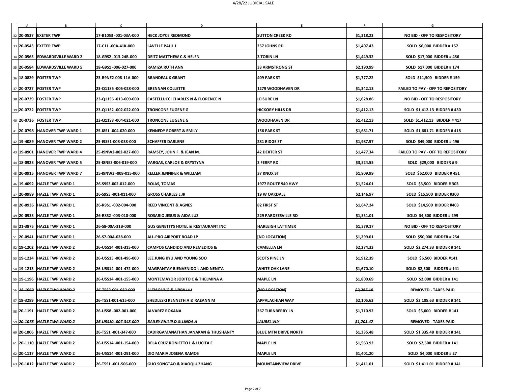| A | B                                 |                       | D                                               |                             |                       | G                                        |
|---|-----------------------------------|-----------------------|-------------------------------------------------|-----------------------------|-----------------------|------------------------------------------|
|   | 32   20-0537   EXETER TWP         | 17-B10S3 -001-03A-000 | <b>HECK JOYCE REDMOND</b>                       | <b>SUTTON CREEK RD</b>      | \$1,318.23            | NO BID - OFF TO RESPOSITORY              |
|   | 33 20-0543 EXETER TWP             | 17-C11-00A-41K-000    | <b>LAVELLE PAUL J</b>                           | <b>257 JOHNS RD</b>         | \$1,407.43            | <b>SOLD \$6,000 BIDDER #157</b>          |
|   | 34 20-0565 EDWARDSVILLE WARD 2    | 18-G9S2 -013-24B-000  | <b>DEITZ MATTHEW C &amp; HELEN</b>              | <b>3 TOBIN LN</b>           | \$1,449.32            | <b>SOLD \$17,000 BIDDER #456</b>         |
|   | 35 20-0584 EDWARDSVILLE WARD 5    | 18-G9S1-006-027-000   | <b>RAMIZA RUTH ANN</b>                          | <b>33 ARMSTRONG ST</b>      | \$2,190.99            | SOLD \$17,000 BIDDER #174                |
|   | 36   18-0829   FOSTER TWP         | 23-R9NE2-008-11A-000  | <b>BRANDEAUX GRANT</b>                          | 409 PARK ST                 | \$1,777.22            | <b>SOLD \$11,500 BIDDER #159</b>         |
|   | 37 20-0727 FOSTER TWP             | 23-Q11S6 -006-028-000 | <b>BRENNAN COLLETTE</b>                         | <b>1279 WOODHAVEN DR</b>    | \$1,342.13            | <b>FAILED TO PAY - OFF TO REPOSITORY</b> |
|   | 38 20-0729 FOSTER TWP             | 23-Q11S6 -013-009-000 | <b>CASTELLUCCI CHARLES N &amp; FLORENCE N</b>   | <b>LEISURE LN</b>           | \$1,628.86            | NO BID - OFF TO RESPOSITORY              |
|   | 39 20-0722 FOSTER TWP             | 23-Q11S2 -002-022-000 | <b>TRONCONE EUGENE G</b>                        | <b>HICKORY HILLS DR</b>     | \$1,412.13            | SOLD \$1,412.13 BIDDER #430              |
|   | 40   20-0736 FOSTER TWP           | 23-Q11S8 -004-021-000 | <b>TRONCONE EUGENE G</b>                        | <b>WOODHAVEN DR</b>         | \$1,412.13            | SOLD \$1,412.13 BIDDER #417              |
|   | 41   20-0798   HANOVER TWP WARD 1 | 25-18S1 -004-020-000  | <b>KENNEDY ROBERT &amp; EMILY</b>               | <b>156 PARK ST</b>          | \$1,681.71            | SOLD \$1,681.71 BIDDER #418              |
|   | 42   19-4089   HANOVER TWP WARD 2 | 25-I9SE1-008-038-000  | <b>SCHAFFER DARLENE</b>                         | 281 RIDGE ST                | \$1,987.57            | <b>SOLD \$49,000 BIDDER #496</b>         |
|   | 43 19-0901 HANOVER TWP WARD 4     | 25-I9NW2-002-027-000  | RAMSEY, JOHN F. & JEAN M.                       | <b>42 DEXTER ST</b>         | \$1,477.34            | <b>FAILED TO PAY - OFF TO REPOSITORY</b> |
|   | 44   18-0923   HANOVER TWP WARD 5 | 25-I8NE3-006-019-000  | <b>VARGAS, CARLOE &amp; KRYSTYNA</b>            | <b>3 FERRY RD</b>           | \$3,524.55            | SOLD \$29,000 BIDDER # 9                 |
|   | 45   20-0915   HANOVER TWP WARD 7 | 25-I9NW3 -009-015-000 | <b>KELLER JENNIFER &amp; WILLIAM</b>            | <b>37 KNOX ST</b>           | \$1,909.99            | SOLD \$62,000 BIDDER #451                |
|   | 46 19-4092 HAZLE TWP WARD 1       | 26-S9S3-002-012-000   | <b>ROJAS, TOMAS</b>                             | <b>1977 ROUTE 940 HWY</b>   | \$1,524.01            | <b>SOLD \$3,500 BIDDER #303</b>          |
|   | 47   20-0989   HAZLE TWP WARD 1   | 26-S9S5 -001-011-000  | <b>GROSS CHARLES L JR</b>                       | <b>19 W OAKDALE</b>         | \$2,146.97            | <b>SOLD \$15,500 BIDDER #300</b>         |
|   | 48 20-0936 HAZLE TWP WARD 1       | 26-R9S1-002-004-000   | <b>REED VINCENT &amp; AGNES</b>                 | 82 FIRST ST                 | \$1,647.24            | <b>SOLD \$14,500 BIDDER #403</b>         |
|   | 49 20-0933 HAZLE TWP WARD 1       | 26-R8S2 -003-010-000  | <b>ROSARIO JESUS &amp; AIDA LUZ</b>             | <b>229 PARDEESVILLE RD</b>  | \$1,551.01            | <b>SOLD \$4,500 BIDDER # 299</b>         |
|   | 50 21-3875 HAZLE TWP WARD 1       | 26-S8-00A-31B-000     | <b>GUS GENETTI'S HOTEL &amp; RESTAURANT INC</b> | <b>HARLEIGH LATTIMER</b>    | \$1,379.17            | NO BID - OFF TO RESPOSITORY              |
|   | 51   20-0941   HAZLE TWP WARD 1   | 26-S7-00A-028-000     | <b>ALL-PRO AIRPORT ROAD LP</b>                  | [NO LOCATION]               | \$1,299.01            | <b>SOLD \$50,000 BIDDER # 254</b>        |
|   | 52 19-1202 HAZLE TWP WARD 2       | 26-U5S14 -001-315-000 | <b>CAMPOS CANDIDO AND REMEDIOS &amp;</b>        | <b>CAMELLIA LN</b>          | \$2,274.33            | SOLD \$2,274.33 BIDDER #141              |
|   | 53 19-1234 HAZLE TWP WARD 2       | 26-U5S15 -001-496-000 | LEE JUNG KYU AND YOUNG SOO                      | <b>SCOTS PINE LN</b>        | \$1,912.39            | <b>SOLD \$6,500 BIDDER #141</b>          |
|   | 54 19-1213 HAZLE TWP WARD 2       | 26-U5S14 -001-472-000 | <b>MAGPANTAY BIENVENIDO L AND NENITA</b>        | <b>WHITE OAK LANE</b>       | \$1,670.10            | SOLD \$2,500 BIDDER #141                 |
|   | 55 19-1196 HAZLE TWP WARD 2       | 26-U5S14 -001-155-000 | <b>MONTEMAYOR JODITO C &amp; THELMINA A</b>     | <b>MAPLE LN</b>             | \$1,800.69            | <b>SOLD \$2,000 BIDDER #141</b>          |
|   | 56 48-1069 HAZLE TWP WARD 2       | 26-T5S2-001-032-000   | <b>LIZIAOLING &amp; LIREN LIU</b>               | <b>[NO LOCATION]</b>        | <del>\$2,287.10</del> | <b>REMOVED - TAXES PAID</b>              |
|   | 57   18-3289   HAZLE TWP WARD 2   | 26-T5S1-001-615-000   | <b>SHEDLESKI KENNETH A &amp; RAEANN M</b>       | <b>APPALACHIAN WAY</b>      | \$2,105.63            | SOLD \$2,105.63 BIDDER #141              |
|   | 58 20-1191 HAZLE TWP WARD 2       | 26-U5S8 -002-001-000  | <b>ALVAREZ ROXANA</b>                           | <b>267 TURNBERRY LN</b>     | \$1,710.92            | <b>SOLD \$5,000 BIDDER #141</b>          |
|   | 59 20 1076 HAZLE TWP WARD 2       | 26-U5S10-007-348-000  | <b>BAILEY PHILIP D &amp; LINDA A</b>            | <b>LAUREL VLY</b>           | <del>\$1,703.47</del> | <b>REMOVED - TAXES PAID</b>              |
|   | 60 20-1006 HAZLE TWP WARD 2       | 26-T5S1 -001-347-000  | <b>CADIRGAMANATHAN JANAKAN &amp; THUSHANTY</b>  | <b>BLUE MTN DRIVE NORTH</b> | \$1,335.48            | SOLD \$1,335.48 BIDDER #141              |
|   | 61 20-1110 HAZLE TWP WARD 2       | 26-U5S14 -001-154-000 | <b>DELA CRUZ RONIETTO L &amp; LUCITA E</b>      | <b>MAPLE LN</b>             | \$1,563.92            | <b>SOLD \$2,500 BIDDER #141</b>          |
|   | 62 20-1117 HAZLE TWP WARD 2       | 26-U5S14 -001-291-000 | <b>DIO MARIA JOSENA RAMOS</b>                   | <b>MAPLE LN</b>             | \$1,401.20            | <b>SOLD \$4,000 BIDDER #27</b>           |
|   | 63 20-1012 HAZLE TWP WARD 2       | 26-T5S1 -001-506-000  | <b>GUO SONGTAO &amp; XIAOQIU ZHANG</b>          | <b>MOUNTAINVIEW DRIVE</b>   | \$1,411.01            | SOLD \$1,411.01 BIDDER #141              |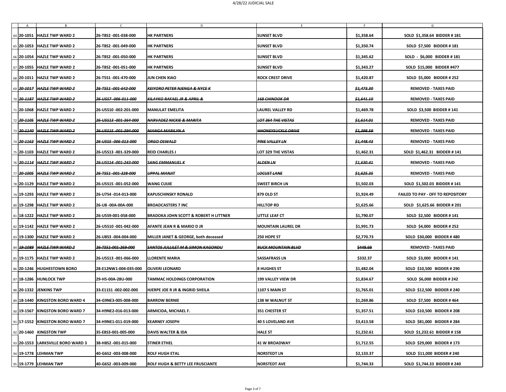| A | $\mathsf{B}$                            | $\mathsf{C}$                     | D                                                | F.                            | E.                    | G                                        |
|---|-----------------------------------------|----------------------------------|--------------------------------------------------|-------------------------------|-----------------------|------------------------------------------|
|   | 64   20-1051   HAZLE TWP WARD 2         | 26-T8S2 -001-038-000             | <b>HK PARTNERS</b>                               | <b>SUNSET BLVD</b>            | \$1,358.64            | SOLD \$1,358.64 BIDDER #181              |
|   | 65   20-1053   HAZLE TWP WARD 2         | 26-T8S2 -001-049-000             | <b>HK PARTNERS</b>                               | <b>SUNSET BLVD</b>            | \$1,350.74            | <b>SOLD \$7,500 BIDDER #181</b>          |
|   | 66 20-1054 HAZLE TWP WARD 2             | 26-T8S2 -001-050-000             | <b>HK PARTNERS</b>                               | <b>SUNSET BLVD</b>            | \$1,345.62            | SOLD - \$6,000 BIDDER #181               |
|   | 67   20-1055   HAZLE TWP WARD 2         | 26-T8S2 -001-051-000             | <b>HK PARTNERS</b>                               | <b>SUNSET BLVD</b>            | \$1,343.27            | SOLD \$15,000 BIDDER #477                |
|   | 68 20-1011 HAZLE TWP WARD 2             | 26-T5S1 -001-470-000             | <b>JUN CHEN XIAO</b>                             | <b>ROCK CREST DRIVE</b>       | \$1,420.87            | <b>SOLD \$5,000 BIDDER # 252</b>         |
|   | 69 20-1017 HAZLE TWP WARD 2             | <del>26-T5S1-001-642-000</del>   | <b>KEIYORO PETER NJENGA &amp; NYCE K</b>         |                               | <del>\$1,473.30</del> | <b>REMOVED - TAXES PAID</b>              |
|   | 70 20-1187 HAZLE TWP WARD 2             | 26-U5S7-006-011-000              | KILAYKO RAFAEL JR & APRIL &                      | <b>168 CHINOOK DR</b>         | <del>\$1,641.10</del> | <b>REMOVED - TAXES PAID</b>              |
|   | 71   20-1068   HAZLE TWP WARD 2         | 26-U5S10 -002-201-000            | <b>MANULAT EMELITA</b>                           | <b>LAUREL VALLEY RD</b>       | \$1,469.78            | <b>SOLD \$3,500 BIDDER #141</b>          |
|   | 72 20-1105 HAZLE TWP WARD 2             | <del>26 U5S13 001 364 000</del>  | NARVADEZ NICKIE & MARITA                         | <del>LOT 364 THE VISTAS</del> | <del>\$1,614.01</del> | <b>REMOVED - TAXES PAID</b>              |
|   | 73 2 <del>0 1140</del> HAZLE TWP WARD 2 | <del>26 U5S15 -001 394 000</del> | NIANGA MARILYN A                                 | <del>HHONEYSUCKLE DRIVE</del> | <del>\$1,398.59</del> | <b>REMOVED - TAXES PAID</b>              |
|   | 74 2 <del>0 1163</del> HAZLE TWP WARD 2 | <del>26-U5S5-006-013-000</del>   | <b>ORGO OSWALD</b>                               | <del>PINE VALLEY LN</del>     | <del>\$1,448.43</del> | <b>REMOVED - TAXES PAID</b>              |
|   | 75 20-1103 HAZLE TWP WARD 2             | 26-U5S13 -001-329-000            | <b>REID CHARLES J</b>                            | LOT 329 THE VISTAS            | \$1,462.31            | SOLD \$1,462.31 BIDDER #141              |
|   | 76 20-1114 HAZLE TWP WARD 2             | 26-U5S14-001-243-000             | <b>SANG EMMANUEL K</b>                           | <b>ALDEN LN</b>               | <del>\$1,630.41</del> | <b>REMOVED - TAXES PAID</b>              |
|   | 77 20-1005 HAZLE TWP WARD 2             | 26-T5S1-001-328-000              | <b>UPPAL MANJIT</b>                              | <b>LOCUST LANE</b>            | <del>\$1,625.35</del> | <b>REMOVED - TAXES PAID</b>              |
|   | 78   20-1129   HAZLE TWP WARD 2         | 26-U5S15 -001-052-000            | <b>WANG CUIJIE</b>                               | <b>SWEET BIRCH LN</b>         | \$1,502.03            | SOLD \$1,502.03 BIDDER #141              |
|   | 79   19-1293   HAZLE TWP WARD 2         | 26-U7S4 -014-013-000             | <b>KAPUSCHINSKY RONALD</b>                       | <b>879 OLD ST</b>             | \$1,924.49            | <b>FAILED TO PAY - OFF TO REPOSITORY</b> |
|   | 80 19-1298 HAZLE TWP WARD 2             | 26-U8 -00A-00A-000               | <b>BROADCASTERS 7 INC</b>                        | <b>HILLTOP RD</b>             | \$1,625.66            | SOLD \$1,625.66 BIDDER # 201             |
|   | 81 18-1222 HAZLE TWP WARD 2             | 26-U5S9-001-058-000              | <b>BRADOKA JOHN SCOTT &amp; ROBERT H LITTNER</b> | <b>LITTLE LEAF CT</b>         | \$1,790.07            | <b>SOLD \$2,500 BIDDER #141</b>          |
|   | 82 19-1142 HAZLE TWP WARD 2             | 26-U5S10 -001-042-000            | AFANTE JEAN R & MARIO D JR                       | <b>MOUNTAIN LAUREL DR</b>     | \$1,991.73            | <b>SOLD \$4,000 BIDDER # 252</b>         |
|   | 83   19-1300   HAZLE TWP WARD 2         | 26-U8S3 -004-004-000             | <b>MILLER JANET &amp; GEORGE, both deceased</b>  | <b>250 HOPE ST</b>            | \$2,770.73            | <b>SOLD \$30,000 BIDDER #480</b>         |
|   | 84 19-1089 HAZLE TWP WARD 2             | 26-T5S1-001-269-000              | <b>SANTOS JULLILET M &amp; SIMON KAGONDU</b>     | <b>BUCK MOUNTAIN BLVD</b>     | <del>\$449.69</del>   | <b>REMOVED - TAXES PAID</b>              |
|   | 85 19-1175 HAZLE TWP WARD 2             | 26-U5S13 -001-066-000            | <b>LLORENTE MARIA</b>                            | <b>SASSAFRASS LN</b>          | \$332.37              | SOLD \$3,000 BIDDER #141                 |
|   | 86 20-1246 HUGHESTOWN BORO              | 28-E12NW1-004-035-000            | <b>OLIVERI LEONARD</b>                           | <b>8 HUGHES ST</b>            | \$1,482.04            | <b>SOLD \$10,500 BIDDER #290</b>         |
|   | 87 18-1286 HUNLOCK TWP                  | 29-H5-00A-28U-000                | <b>TAMMAC HOLDINGS CORPORATION</b>               | <b>199 VALLEY VIEW DR</b>     | \$1,834.67            | <b>SOLD \$6,000 BIDDER # 242</b>         |
|   | 88 20-1332 JENKINS TWP                  | 33-E11S1-002-002-000             | <b>HJERPE JOE R JR &amp; INGRID SHEILA</b>       | <b>1107 S MAIN ST</b>         | \$1,765.01            | <b>SOLD \$12,500 BIDDER # 240</b>        |
|   | 89 18-1440 KINGSTON BORO WARD 4         | 34-G9NE3-005-008-000             | <b>BARROW BERNIE</b>                             | <b>138 W WALNUT ST</b>        | \$1,269.86            | <b>SOLD \$7,500 BIDDER #464</b>          |
|   | 90   19-1567   KINGSTON BORO WARD 7     | 34-H9NE2-016-013-000             | <b>ARMICIDA, MICHAEL F.</b>                      | <b>351 CHESTER ST</b>         | \$1,357.51            | <b>SOLD \$10,500 BIDDER # 208</b>        |
|   | 91   17-1552   KINGSTON BORO WARD 7     | 34-H9NE1-011-019-000             | <b>KEARNEY JOSEPH</b>                            | <b>40 S LOVELAND AVE</b>      | \$3,413.58            | <b>SOLD \$81,000 BIDDER #284</b>         |
|   | 92   20-1460 KINGSTON TWP               | 35-E8S3-001-005-000              | <b>DAVIS WALTER &amp; IDA</b>                    | <b>HALE ST</b>                | \$1,232.61            | SOLD \$1,232.61 BIDDER #158              |
|   | 93 20-1553   LARKSVILLE BORO WARD 3     | 38-H8S2 -001-015-000             | <b>STINER ETHEL</b>                              | 41 W BROADWAY                 | \$1,712.55            | SOLD \$29,000 BIDDER #173                |
|   | 94   19-1778   LEHMAN TWP               | 40-G6S2 -003-008-000             | <b>ROLF HUGH ETAL</b>                            | <b>NORSTEDT LN</b>            | \$2,133.37            | <b>SOLD \$11,000 BIDDER # 240</b>        |
|   | 95   19-1779   LEHMAN TWP               | 40-G6S2 -003-009-000             | <b>ROLF HUGH &amp; BETTY LEE FRUSCIANTE</b>      | <b>NORSTEDT AVE</b>           | \$1,744.33            | SOLD \$1,744.33 BIDDER # 240             |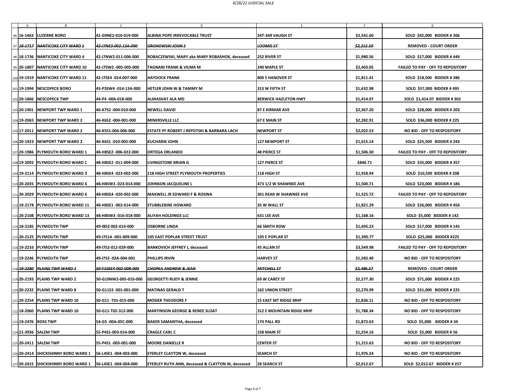|  | B<br>96   16-1463   LUZERNE BORO                                      | 41-G9NE2-010-019-000                          | D<br><b>ALBINA POPE IRREVOCABLE TRUST</b>                   | 347-349 VAUGH ST                                 | \$3,541.60               | G<br><b>SOLD \$42,000 BIDDER #306</b>                                |
|--|-----------------------------------------------------------------------|-----------------------------------------------|-------------------------------------------------------------|--------------------------------------------------|--------------------------|----------------------------------------------------------------------|
|  | 97 48-1717 NANTICOKE CITY WARD 1                                      | 42-J7NE3-002-13A-000                          | <b>GROHOWSKI JOHN S</b>                                     | <b>LOOMISST</b>                                  | <del>\$2,212.50</del>    | <b>REMOVED - COURT ORDER</b>                                         |
|  | 98   18-1736   NANTICOKE CITY WARD 4                                  | 42-J7NW2-011-006-000                          | ROBACZEWSKI, MARY aka MARY ROBASHOK, deceased               | <b>252 RIVER ST</b>                              | \$1,980.56               | SOLD \$17,000 BIDDER #449                                            |
|  | 99 20-1807 NANTICOKE CITY WARD 10                                     | 42-J7SW2 -005-005-000                         | <b>TAGNANI FRANK &amp; VILMA M</b>                          | <b>240 MAPLE ST</b>                              | \$2,403.05               | <b>FAILED TO PAY - OFF TO REPOSITORY</b>                             |
|  |                                                                       |                                               |                                                             |                                                  |                          |                                                                      |
|  | 100 19-1919   NANTICOKE CITY WARD 11<br> 101 19-1994   NESCOPECK BORO | 42-J7SE4 -014-007-000<br>43-P3SW4-014-13A-000 | <b>HAYDOCK FRANK</b><br><b>HETLER JOHN W &amp; TAMMY M</b>  | <b>800 S HANOVER ST</b><br><b>313 W FIFTH ST</b> | \$1,811.41<br>\$1,632.98 | <b>SOLD \$18,500 BIDDER #386</b><br><b>SOLD \$57,000 BIDDER #495</b> |
|  |                                                                       |                                               |                                                             |                                                  |                          |                                                                      |
|  | 102 20-1866 NESCOPECK TWP                                             | 44-P4 -00A-018-000                            | <b>ALMASHAT ALA MD</b>                                      | <b>BERWICK HAZLETON HWY</b>                      | \$1,414.07               | SOLD \$1,414.07 BIDDER # 302                                         |
|  | 103 20-1901   NEWPORT TWP WARD 1                                      | 46-K7S2 -004-010-000                          | <b>NEWELL DAVID</b>                                         | <b>87 E KIRMAR AVE</b>                           | \$2,367.20               | <b>SOLD \$28,000 BIDDER # 203</b>                                    |
|  | 104  <b>19-2065</b>   NEWPORT TWP WARD 2                              | 46-K6S2-004-001-000                           | <b>MINERSVILLE LLC</b>                                      | <b>67 E MAIN ST</b>                              | \$2,282.91               | SOLD \$36,000 BIDDER # 225                                           |
|  | 105 17-2011 NEWPORT TWP WARD 2                                        | 46-K5S1-004-006-000                           | <b>ESTATE PF ROBERT J REPOTSKI &amp; BARBARA LACH</b>       | <b>NEWPORT ST</b>                                | \$2,022.53               | NO BID - OFF TO RESPOSITORY                                          |
|  | 106 20-1923 NEWPORT TWP WARD 2                                        | 46-K6S1-010-005-000                           | <b>KUCHARIK JOHN</b>                                        | <b>127 NEWPORT ST</b>                            | \$1,615.14               | <b>SOLD \$25,500 BIDDER # 243</b>                                    |
|  | 107  20-1986   PLYMOUTH BORO WARD 1                                   | 48-H8SE2 -006-022-000                         | <b>ORTEGA ORLANDO</b>                                       | <b>48 PIERCE ST</b>                              | \$1,506.30               | <b>FAILED TO PAY - OFF TO REPOSITORY</b>                             |
|  | 108 19-2092   PLYMOUTH BORO WARD 1                                    | 48-H8SE2 -011-009-000                         | <b>LIVINGSTONE BRIAN G</b>                                  | <b>127 PIERCE ST</b>                             | \$846.71                 | SOLD \$35,000 BIDDER #357                                            |
|  | 109 19-2114  PLYMOUTH BORO WARD 3                                     | 48-H8SE4 -023-002-000                         | <b>118 HIGH STREET PLYMOUTH PROPERTIES</b>                  | 118 HIGH ST                                      | \$1,918.94               | <b>SOLD \$10,500 BIDDER # 208</b>                                    |
|  | 110 20-2035 PLYMOUTH BORO WARD 6                                      | 48-H8SW3 -023-014-000                         | <b>JOHNSON JACQUELINE L</b>                                 | <b>473 1/2 W SHAWNEE AVE</b>                     | \$1,500.71               | <b>SOLD \$23,000 BIDDER #186</b>                                     |
|  | 111 20-2029 PLYMOUTH BORO WARD 6                                      | 48-H8SE4 -020-002-000                         | <b>MAXWELL JR EDWARD F &amp; ROSINA</b>                     | <b>301 REAR W SHAWNEE AVE</b>                    | \$1,525.72               | <b>FAILED TO PAY - OFF TO REPOSITORY</b>                             |
|  | 112 19-2178 PLYMOUTH BORO WARD 11                                     | 48-H8SE1-002-014-000                          | <b>STUBBLEBINE HOWARD</b>                                   | <b>35 W WALL ST</b>                              | \$1,821.29               | <b>SOLD \$26,000 BIDDER #456</b>                                     |
|  | 113 20-2108 PLYMOUTH BORO WARD 13                                     | 48-H8SW3 -016-018-000                         | <b>ALIYAH HOLDINGS LLC</b>                                  | 631 LEE AVE                                      | \$1,168.16               | <b>SOLD \$5,000 BIDDER #142</b>                                      |
|  | 114 18-2185 PLYMOUTH TWP                                              | 49-18S2-002-014-000                           | <b>OSBORNE LINDA</b>                                        | <b>66 SMITH ROW</b>                              | \$1,695.23               | SOLD \$17,000 BIDDER #145                                            |
|  | 115 20-2125 PLYMOUTH TWP                                              | 49-17S1A -001-009-000                         | <b>105 EAST POPLAR STREET TRUST</b>                         | <b>105 E POPLAR ST</b>                           | \$1,390.77               | SOLD \$25,000 BIDDER #225                                            |
|  | 116 19-2233 PLYMOUTH TWP                                              | 49-17S2-012-029-000                           | <b>BANKOVICH JEFFREY J, deceased</b>                        | <b>45 ALLAN ST</b>                               | \$3,549.98               | <b>FAILED TO PAY - OFF TO REPOSITORY</b>                             |
|  | 117 19-2246 PLYMOUTH TWP                                              | 49-17S3 -02A-004-001                          | <b>PHILLIPS IRVIN</b>                                       | <b>HARVEY ST</b>                                 | \$1,283.40               | NO BID - OFF TO RESPOSITORY                                          |
|  | 118 <del>19 2280</del> PLAINS TWP WARD 1                              | 50-F10SE4-002-009-000                         | <b>CHOPKA ANDREW &amp; JEAN</b>                             | <b>MITCHELL ST</b>                               | <del>\$2,486.57</del>    | <b>REMOVED - COURT ORDER</b>                                         |
|  | 119 20-2193 PLAINS TWP WARD 2                                         | 50-G10NW2-005-010-000                         | <b>GEORGETTI RUDY &amp; JENNIE</b>                          | <b>69 W CAREY ST</b>                             | \$2,277.30               | SOLD \$71,000 BIDDER # 225                                           |
|  | 120 20-2232 PLAINS TWP WARD 8                                         | 50-G11S3 -001-001-000                         | <b>MATINAS GERALD T</b>                                     | <b>162 UNION STREET</b>                          | \$2,270.99               | <b>SOLD \$31,000 BIDDER # 225</b>                                    |
|  | 121 20-2254 PLAINS TWP WARD 10                                        | 50-G11-T01-015-000                            | <b>MOSIER THEODORE F</b>                                    | <b>15 EAST MT RIDGE MHP</b>                      | \$1,836.11               | <b>NO BID - OFF TO RESPOSITORY</b>                                   |
|  | 122 18-2060 PLAINS TWP WARD 10                                        | 50-G11-T02-312-000                            | <b>MARTINSON GEORGE &amp; RENEE SLOAT</b>                   | <b>312 E MOUNTAIN RIDGE MHP</b>                  | \$1,788.34               | NO BID - OFF TO RESPOSITORY                                          |
|  | 123  <b>19-2476</b>   ROSS TWP                                        | 54-G5 -00A-05C-000                            | <b>BAKER SAMANTHA, deceased</b>                             | 174 PALL RD                                      | \$1,872.63               | <b>SOLD \$5,000 BIDDER #34</b>                                       |
|  | 124 21-3936   SALEM TWP                                               | 55-P4S1-003-014-000                           | <b>CRAGLE CARL C</b>                                        | <b>158 MAIN ST</b>                               | \$1,254.16               | <b>SOLD \$5,000 BIDDER #56</b>                                       |
|  | 125 20-2411 SALEM TWP                                                 | 55-P4S1-003-001-000                           | <b>MOORE DANIELLE R</b>                                     | <b>CENTER ST</b>                                 | \$1,215.63               | NO BID - OFF TO RESPOSITORY                                          |
|  | 126  <b>20-2414   SHICKSHINNY BORO WARD 1</b>                         | 56-L4SE1 -004-003-000                         | <b>EYERLEY CLAYTON W, deceased</b>                          | <b>SEARCH ST</b>                                 | \$1,976.24               | NO BID - OFF TO RESPOSITORY                                          |
|  | 127 20-2415 SHICKSHINNY BORO WARD 1                                   | 56-L4SE1 -004-004-000                         | <b>EYERLEY RUTH ANN, deceased &amp; CLAYTON W, deceased</b> | <b>28 SEARCH ST</b>                              | \$2,012.67               | SOLD \$2,012.67 BIDDER # 257                                         |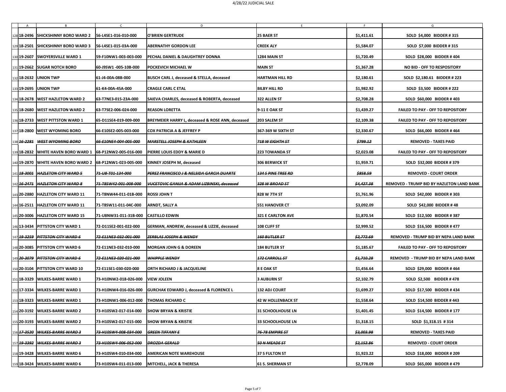|                        |                                                                           |                       | D                                                       |                           |                       | G                                                |
|------------------------|---------------------------------------------------------------------------|-----------------------|---------------------------------------------------------|---------------------------|-----------------------|--------------------------------------------------|
|                        | 128 18-2496 SHICKSHINNY BORO WARD 2                                       | 56-L4SE1-016-010-000  | O'BRIEN GERTRUDE                                        | <b>25 BAER ST</b>         | \$1,411.61            | <b>SOLD \$4,000 BIDDER #315</b>                  |
|                        | 129 18-2501 SHICKSHINNY BORO WARD 3                                       | 56-L4SE1-015-03A-000  | <b>ABERNATHY GORDON LEE</b>                             | <b>CREEK ALY</b>          | \$1,584.07            | <b>SOLD \$7,000 BIDDER #315</b>                  |
|                        | 130 19-2607 SWOYERSVILLE WARD 1                                           | 59-F10NW1-003-003-000 | PECHAL DANIEL & DAUGHTREY DONNA                         | 1284 MAIN ST              | \$1,720.49            | SOLD \$28,000 BIDDER #404                        |
|                        | 131 19-2662 SUGAR NOTCH BORO                                              | 60-J9SW1 -005-10B-000 | <b>POCKEVICH MICHAEL W</b>                              | <b>MAIN ST</b>            | \$1,367.28            | NO BID - OFF TO RESPOSITORY                      |
|                        | 132 18-2632 UNION TWP                                                     | 61-J4-00A-08B-000     | <b>BUSCH CARL J, deceased &amp; STELLA, deceased</b>    | <b>HARTMAN HILL RD</b>    | \$2,180.61            | SOLD \$2,180.61 BIDDER # 223                     |
|                        | 133 19-2695   UNION TWP                                                   | 61-K4-00A-45A-000     | <b>CRAGLE CARL C ETAL</b>                               | <b>BILBY HILL RD</b>      | \$1,982.92            | <b>SOLD \$3,500 BIDDER # 222</b>                 |
|                        | 134 18-2678   WEST HAZLETON WARD 2                                        | 63-T7NE3-015-23A-000  | <b>SAIEVA CHARLES, deceased &amp; ROBERTA, deceased</b> | 322 ALLEN ST              | \$2,708.28            | <b>SOLD \$60,000 BIDDER #403</b>                 |
|                        | 135 18-2680 WEST HAZLETON WARD 2                                          | 63-T7SE2-006-024-000  | <b>REASON LORETTA</b>                                   | <b>9-11 E OAK ST</b>      | \$1,439.27            | <b>FAILED TO PAY - OFF TO REPOSITORY</b>         |
|                        | 136 18-2733   WEST PITTSTON WARD 1                                        | 65-D11SE4-019-009-000 | BREYMEIER HARRY L, deceased & ROSE ANN, deceased        | <b>203 SALEM ST</b>       | \$2,109.38            | <b>FAILED TO PAY - OFF TO REPOSITORY</b>         |
|                        | 137 18-2800 WEST WYOMING BORO                                             | 66-E10SE2-005-003-000 | <b>COX PATRICIA A &amp; JEFFREY P</b>                   | 367-369 W SIXTH ST        | \$2,330.67            | SOLD \$66,000 BIDDER #464                        |
|                        | 138 16-2281 WEST WYOMING BORO                                             | 66-E10NE4-004-005-000 | <b>MARSTELL JOSEPH &amp; KATHLEEN</b>                   | 718 W EIGHTH ST           | <del>\$799.12</del>   | <b>REMOVED - TAXES PAID</b>                      |
| 139 18 - 2832          | <b>WHITE HAVEN BORO WARD 1</b>                                            | 68-P12NW2-005-016-000 | PIERRE LOUIS EDDY & MARIE D                             | <b>223 TOWANDA ST</b>     | \$2,023.08            | <b>FAILED TO PAY - OFF TO REPOSITORY</b>         |
|                        | $\vert$ 140 19-2870 WHITE HAVEN BORO WARD 2 $\vert$ 68-P12NW1-023-005-000 |                       | <b>KINNEY JOSEPH M, deceased</b>                        | <b>306 BERWICK ST</b>     | \$1,959.71            | SOLD \$32,000 BIDDER #379                        |
| 141 18 3001            | <b>HAZLETON CITY WARD 5</b>                                               | 71-US-T01-134-000     | PEREZ FRANCISCO J & NELSIDA GARCIA DUARTE               | <b>134 S PINE TREE RD</b> | <b>\$858.59</b>       | <b>REMOVED - COURT ORDER</b>                     |
|                        | 142 16-2471 HAZLETON CITY WARD 8                                          | 71-T8SW42-001-008-000 | <b>VUCETOVIC GANIJA &amp; ADAM LIZBINSKI, deceased</b>  | 328 W BROAD ST            | <del>\$4,427.38</del> | <b>REMOVED - TRUMP BID BY HAZLETON LAND BANK</b> |
|                        | 143 20-2880 HAZLETON CITY WARD 11                                         | 71-T8NW44-011-01B-000 | <b>ROSSI JOHN T</b>                                     | <b>828 W 7TH ST</b>       | \$1,761.96            | <b>SOLD \$42,000 BIDDER #303</b>                 |
|                        | 144 16-2511   HAZLETON CITY WARD 11                                       | 71-T8SW11-011-04C-000 | ARNDT, SALLY A                                          | <b>551 HANOVER CT</b>     | \$3,092.09            | <b>SOLD \$42,000 BIDDER #48</b>                  |
|                        | 145 20-3006   HAZLETON CITY WARD 15                                       | 71-U8NW31-011-31B-000 | <b>CASTILLO EDWIN</b>                                   | <b>321 E CARLTON AVE</b>  | \$1,870.54            | SOLD \$12,500 BIDDER #387                        |
|                        | 146 13-3434 PITTSTON CITY WARD 1                                          | 72-D11SE2-001-022-000 | GERMAN, ANDREW, deceased & LIZZIE, deceased             | <b>108 CLIFF ST</b>       | \$2,999.52            | <b>SOLD \$16,500 BIDDER #477</b>                 |
| 147 <del>19 3259</del> | <b>PITTSTON CITY WARD 6</b>                                               | 72-E11NE3-032-001-000 | <b>ZERBLAS JOSEPH &amp; WENDY</b>                       | <b>160 BUTLER ST</b>      | \$2,772.69            | <b>REMOVED - TRUMP BID BY NEPA LAND BANK</b>     |
|                        | 148 20-3085   PITTSTON CITY WARD 6                                        | 72-E11NE3-032-010-000 | <b>MORGAN JOHN G &amp; DOREEN</b>                       | <b>184 BUTLER ST</b>      | \$1,185.67            | <b>FAILED TO PAY - OFF TO REPOSITORY</b>         |
| 149 20 3079            | <b>PITTSTON CITY WARD 6</b>                                               | 72-E11NE3-020-021-000 | <b>WHIPPLE WENDY</b>                                    | 172 CARROLL ST            | <del>\$1,710.28</del> | <b>REMOVED - TRUMP BID BY NEPA LAND BANK</b>     |
|                        | 150 20-3104 PITTSTON CITY WARD 10                                         | 72-E11SE1-030-020-000 | <b>ORTH RICHARD J &amp; JACQUELINE</b>                  | <b>8 E OAK ST</b>         | \$1,456.64            | SOLD \$29,000 BIDDER #464                        |
| 151 18 - 3329          | <b>WILKES-BARRE WARD 1</b>                                                | 73-H10NW2-018-026-000 | <b>VIEW JOLEEN</b>                                      | <b>3 AUBURN ST</b>        | \$2,102.79            | <b>SOLD \$2,500 BIDDER #478</b>                  |
| 152 17 - 3334          | <b>WILKES-BARRE WARD 1</b>                                                | 73-H10NW4-016-026-000 | <b>GURCHAK EDWARD J, deceased &amp; FLORENCE L</b>      | <b>132 ADJ COURT</b>      | \$1,699.27            | SOLD \$17,500 BIDDER #434                        |
| 153 18 - 3323          | <b>WILKES-BARRE WARD 1</b>                                                | 73-H10NW1-006-012-000 | <b>THOMAS RICHARD C</b>                                 | <b>42 W HOLLENBACK ST</b> | \$1,558.64            | <b>SOLD \$14,500 BIDDER #443</b>                 |
| 154 20-3192            | <b>WILKES-BARRE WARD 2</b>                                                | 73-H10SW2-017-014-000 | <b>SHOW BRYAN &amp; KRISTIE</b>                         | <b>31 SCHOOLHOUSE LN</b>  | \$1,401.45            | SOLD \$14,500 BIDDER #177                        |
| 155 20 - 3193          | <b>WILKES-BARRE WARD 2</b>                                                | 73-H10SW2-017-015-000 | <b>SHOW BRYAN &amp; KRISTIE</b>                         | <b>33 SCHOOLHOUSE LN</b>  | \$1,318.15            | SOLD $$1,318.15$ # 314                           |
|                        | 156 <b>17-3520 WILKES-BARRE WARD 3</b>                                    | 73-H10SW4-008-034-000 | <b>GREEN TIFFANY E</b>                                  | 76-78 EMPIRE ST           | <del>\$3,003.98</del> | <b>REMOVED - TAXES PAID</b>                      |
| 157 <del>19 3392</del> | <b>WILKES-BARRE WARD 3</b>                                                | 73-H10SW4-006-052-000 | <b>DROZDA GERALD</b>                                    | 50 N MEADE ST             | <del>\$2,152.86</del> | <b>REMOVED - COURT ORDER</b>                     |
|                        | 158 19-3428 WILKES-BARRE WARD 6                                           | 73-H10SW4-010-034-000 | <b>AMERICAN NOTE WAREHOUSE</b>                          | <b>37 S FULTON ST</b>     | \$1,923.22            | SOLD \$18,000 BIDDER # 209                       |
|                        |                                                                           |                       |                                                         |                           |                       |                                                  |
|                        | 159 18-3424   WILKES-BARRE WARD 6                                         | 73-H10SW4-011-013-000 | <b>MITCHELL, JACK &amp; THERESA</b>                     | <b>61 S. SHERMAN ST</b>   | \$2,778.09            | SOLD \$65,000 BIDDER #479                        |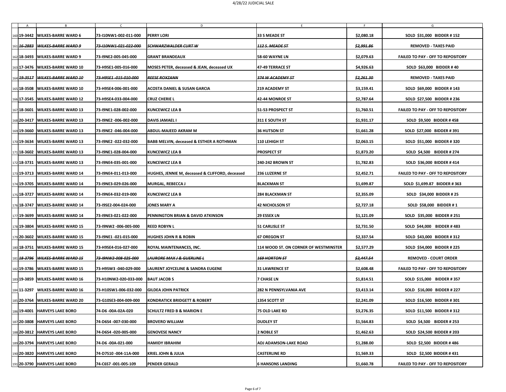|               | 160 19-3442   WILKES-BARRE WARD 6          | 73-I10NW1-002-011-000 | D<br><b>PERRY LORI</b>                               | 33 S MEADE ST                         | \$2,080.18            | G<br><b>SOLD \$31,000 BIDDER #152</b>    |
|---------------|--------------------------------------------|-----------------------|------------------------------------------------------|---------------------------------------|-----------------------|------------------------------------------|
|               | 161 <b>16 2883 WILKES-BARRE WARD 9</b>     | 73-110NW1-021-022-000 | <del>SCHWARZWALDER CURT W</del>                      | <b>112 S. MEADE ST</b>                | <del>\$2,991.86</del> | <b>REMOVED - TAXES PAID</b>              |
| 162 18 - 3493 | <b>WILKES-BARRE WARD 9</b>                 | 73-I9NE2-005-045-000  | <b>GRANT BRANDEAUX</b>                               | <b>58-60 WAYNE LN</b>                 | \$2,079.63            | <b>FAILED TO PAY - OFF TO REPOSITORY</b> |
|               | 163 17-3476   WILKES-BARRE WARD 10         | 73-H9SE1-005-016-000  | <b>MOSES PETER, deceased &amp; JEAN, deceased UX</b> | <b>47-49 TERRACE ST</b>               | \$4,926.63            | <b>SOLD \$63,000 BIDDER #40</b>          |
|               | 164 19 3517 WILKES-BARRE WARD 10           | 73-H9SE1-015-010-000  | <b>REESE ROXZANN</b>                                 | 374 W ACADEMY ST                      | <del>\$2,261.30</del> | <b>REMOVED - TAXES PAID</b>              |
|               | 165 18-3508   WILKES-BARRE WARD 10         | 73-H9SE4-006-001-000  | <b>ACOSTA DANIEL &amp; SUSAN GARCIA</b>              | <b>219 ACADEMY ST</b>                 | \$3,159.41            | SOLD \$69,000 BIDDER #143                |
|               | 166 17-3545   WILKES-BARRE WARD 12         | 73-H9SE4-033-004-000  | <b>CRUZ CHERIE L</b>                                 | <b>42-44 MONROE ST</b>                | \$2,787.64            | <b>SOLD \$27,500 BIDDER # 236</b>        |
| 167 18 - 3601 | <b>WILKES-BARRE WARD 13</b>                | 73-I9NE1-028-002-000  | KUNCEWICZ LEA B                                      | 51-53 PROSPECT ST                     | \$1,760.51            | <b>FAILED TO PAY - OFF TO REPOSITORY</b> |
| 168 20-3417   | <b>WILKES-BARRE WARD 13</b>                | 73-I9NE2 -006-002-000 | <b>DAVIS JAMAEL I</b>                                | $ 311$ E SOUTH ST                     | \$1,931.17            | <b>SOLD \$9,500 BIDDER #458</b>          |
|               | 169 19-3660 WILKES-BARRE WARD 13           | 73-19NE2 -046-004-000 | <b>ABDUL-MAJEED AKRAM M</b>                          | <b>36 HUTSON ST</b>                   | \$1,661.28            | SOLD \$27,000 BIDDER #391                |
| 170 19 - 3634 | <b>WILKES-BARRE WARD 13</b>                | 73-I9NE2 -022-032-000 | <b>BABB MELVIN, deceased &amp; ESTHER A ROTHMAN</b>  | <b>110 LEHIGH ST</b>                  | \$2,063.15            | <b>SOLD \$51,000 BIDDER #320</b>         |
|               | 171 18-3602 WILKES-BARRE WARD 13           | 73-I9NE1-028-004-000  | KUNCEWICZ LEA B                                      | <b>PROSPECT ST</b>                    | \$1,873.20            | SOLD \$4,500 BIDDER # 274                |
|               | 172 <b> 18-3731</b>   WILKES-BARRE WARD 13 | 73-19NE4-035-001-000  | KUNCEWICZ LEA B                                      | 240-242 BROWN ST                      | \$1,782.83            | SOLD \$36,000 BIDDER #414                |
|               | 173 19-3713   WILKES-BARRE WARD 14         | 73-I9NE4-011-013-000  | HUGHES, JENNIE M, deceased & CLIFFORD, deceased      | <b>236 LUZERNE ST</b>                 | \$2,452.71            | <b>FAILED TO PAY - OFF TO REPOSITORY</b> |
|               | 174 19-3705   WILKES-BARRE WARD 14         | 73-I9NE3-029-026-000  | MURGAL, REBECCA J                                    | <b>BLACKMAN ST</b>                    | \$1,699.87            | SOLD \$1,699.87 BIDDER # 363             |
|               | 175 18-3727   WILKES-BARRE WARD 14         | 73-I9NE4-032-019-000  | <b>KUNCEWICZ LEA B</b>                               | <b>284 BLACKMAN ST</b>                | \$2,355.09            | SOLD \$34,000 BIDDER # 25                |
|               | 176 18-3747   WILKES-BARRE WARD 14         | 73-19SE2-004-024-000  | <b>JONES MARY A</b>                                  | <b>42 NICHOLSON ST</b>                | \$2,727.18            | <b>SOLD \$58,000 BIDDER #1</b>           |
|               | 177 19-3699   WILKES-BARRE WARD 14         | 73-I9NE3-021-022-000  | <b>PENNINGTON BRIAN &amp; DAVID ATKINSON</b>         | <b>29 ESSEX LN</b>                    | \$1,121.09            | SOLD \$35,000 BIDDER # 251               |
|               | 178 19-3804 WILKES-BARRE WARD 15           | 73-I9NW2 -006-005-000 | <b>REED ROBYN L</b>                                  | <b>51 CARLISLE ST</b>                 | \$2,731.50            | SOLD \$44,000 BIDDER #483                |
|               | 179 20-3602 WILKES-BARRE WARD 15           | 73-I9NE1 -021-015-000 | <b>HUGHES JOHN R &amp; ROBIN</b>                     | <b>67 OREGON ST</b>                   | \$2,337.54            | <b>SOLD \$43,000 BIDDER #312</b>         |
|               | 180 18-3751   WILKES-BARRE WARD 15         | 73-H9SE4-016-027-000  | ROYAL MAINTENANCES, INC.                             | 114 WOOD ST. ON CORNER OF WESTMINSTER | \$2,577.29            | <b>SOLD \$54,000 BIDDER # 225</b>        |
|               | 181 18 3796 WILKES BARRE WARD 15           | 73-19NW2-008-025-000  | <b>LAURORE MAX J &amp; GUERLINE L</b>                | <b>169 HORTON ST</b>                  | <del>\$2,447.54</del> | <b>REMOVED - COURT ORDER</b>             |
|               | 182 19-3786 WILKES-BARRE WARD 15           | 73-H9SW3 -040-029-000 | LAURENT JOYCELINE & SANDRA EUGENE                    | <b>31 LAWRENCE ST</b>                 | \$2,608.48            | <b>FAILED TO PAY - OFF TO REPOSITORY</b> |
|               | 183 19-3859 WILKES-BARRE WARD 16           | 73-H10NW2-020-033-000 | <b>BAUT JACOB S</b>                                  | <b>7 CHASE LN</b>                     | \$1,814.51            | SOLD \$15,000 BIDDER #357                |
|               | 184 11-3297 WILKES-BARRE WARD 16           | 73-H10SW1-006-032-000 | <b>GILDEA JOHN PATRICK</b>                           | <b>282 N PENNSYLVANIA AVE</b>         | \$3,413.14            | SOLD \$16,000 BIDDER # 227               |
|               | 185 20-3764 WILKES-BARRE WARD 20           | 73-G10SE3-004-009-000 | <b>KONDRATICK BRIDGETT &amp; ROBERT</b>              | <b>1354 SCOTT ST</b>                  | \$2,241.09            | <b>SOLD \$16,500 BIDDER #301</b>         |
|               | 186 19-4001 HARVEYS LAKE BORO              | 74-D6-00A-02A-020     | <b>SCHULTZ FRED B &amp; MARION E</b>                 | <b>75 OLD LAKE RD</b>                 | \$3,276.35            | <b>SOLD \$11,500 BIDDER #312</b>         |
|               | 187 20-3808 HARVEYS LAKE BORO              | 74-D6S4 -007-030-000  | <b>BROVERO WILLIAM</b>                               | <b>DUDLEY ST</b>                      | \$1,564.83            | <b>SOLD \$4,500 BIDDER # 253</b>         |
|               | 188 20-3812 HARVEYS LAKE BORO              | 74-D6S4 -020-005-000  | <b>GENOVESE NANCY</b>                                | <b>2 NOBLE ST</b>                     | \$1,462.63            | <b>SOLD \$24,500 BIDDER # 203</b>        |
|               | 189 20-3794 HARVEYS LAKE BORO              | 74-D6-00A-021-000     | <b>HAMIDY IBRAHIM</b>                                | <b>ADJ ADAMSON-LAKE ROAD</b>          | \$1,288.00            | <b>SOLD \$2,500 BIDDER #486</b>          |
|               | 190 20-3820 HARVEYS LAKE BORO              | 74-D7S10 -004-11A-000 | <b>KRIEL JOHN &amp; JULIA</b>                        | <b>CASTERLINE RD</b>                  | \$1,569.33            | <b>SOLD \$2,500 BIDDER #431</b>          |
|               | 191 20-3790 HARVEYS LAKE BORO              | 74-C6S7 -001-005-109  | <b>PENDER GERALD</b>                                 | <b>6 HANSONS LANDING</b>              | \$1,660.78            | <b>FAILED TO PAY - OFF TO REPOSITORY</b> |